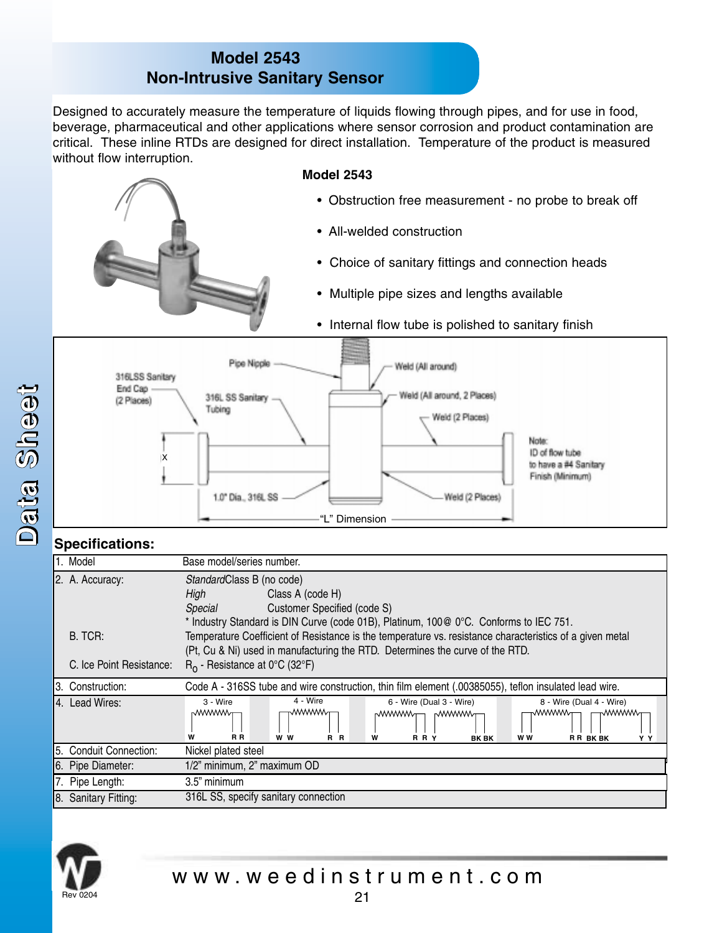## **Model 2543 Non-Intrusive Sanitary Sensor**

Designed to accurately measure the temperature of liquids flowing through pipes, and for use in food, beverage, pharmaceutical and other applications where sensor corrosion and product contamination are critical. These inline RTDs are designed for direct installation. Temperature of the product is measured without flow interruption.

## **Model 2543**

- Obstruction free measurement no probe to break off
- All-welded construction
- Choice of sanitary fittings and connection heads
- Multiple pipe sizes and lengths available
- Internal flow tube is polished to sanitary finish



## **Specifications:**

|    | 1. Model                   | Base model/series number.                                                                                |  |  |  |  |  |  |  |
|----|----------------------------|----------------------------------------------------------------------------------------------------------|--|--|--|--|--|--|--|
|    | 2. A. Accuracy:            | StandardClass B (no code)                                                                                |  |  |  |  |  |  |  |
|    |                            | Class A (code H)<br>High                                                                                 |  |  |  |  |  |  |  |
|    |                            | Customer Specified (code S)<br>Special                                                                   |  |  |  |  |  |  |  |
|    |                            | * Industry Standard is DIN Curve (code 01B), Platinum, 100@ 0°C. Conforms to IEC 751.                    |  |  |  |  |  |  |  |
|    | B. TCR:                    | Temperature Coefficient of Resistance is the temperature vs. resistance characteristics of a given metal |  |  |  |  |  |  |  |
|    |                            | (Pt, Cu & Ni) used in manufacturing the RTD. Determines the curve of the RTD.                            |  |  |  |  |  |  |  |
|    | C. Ice Point Resistance:   | $R_0$ - Resistance at 0°C (32°F)                                                                         |  |  |  |  |  |  |  |
|    | I3. Construction:          | Code A - 316SS tube and wire construction, thin film element (.00385055), teflon insulated lead wire.    |  |  |  |  |  |  |  |
|    | 4. Lead Wires:             | 4 - Wire<br>3 - Wire<br>8 - Wire (Dual 4 - Wire)<br>6 - Wire (Dual 3 - Wire)                             |  |  |  |  |  |  |  |
|    |                            | wwwwγ<br><b>MWWWW</b><br>∧∨∨∨∨∨∨v <del>∩</del><br>™™™<br><b>MWWWW</b><br>r₩₩₩₩π⊣                         |  |  |  |  |  |  |  |
|    |                            | W<br>R R<br>w w<br>R R<br>W<br>R R Y<br>RR BKBK<br>w w<br><b>BK BK</b><br>YY                             |  |  |  |  |  |  |  |
| 5. | <b>Conduit Connection:</b> | Nickel plated steel                                                                                      |  |  |  |  |  |  |  |
|    | 6. Pipe Diameter:          | 1/2" minimum, 2" maximum OD                                                                              |  |  |  |  |  |  |  |
|    | 7. Pipe Length:            | 3.5" minimum                                                                                             |  |  |  |  |  |  |  |
|    | 8. Sanitary Fitting:       | 316L SS, specify sanitary connection                                                                     |  |  |  |  |  |  |  |